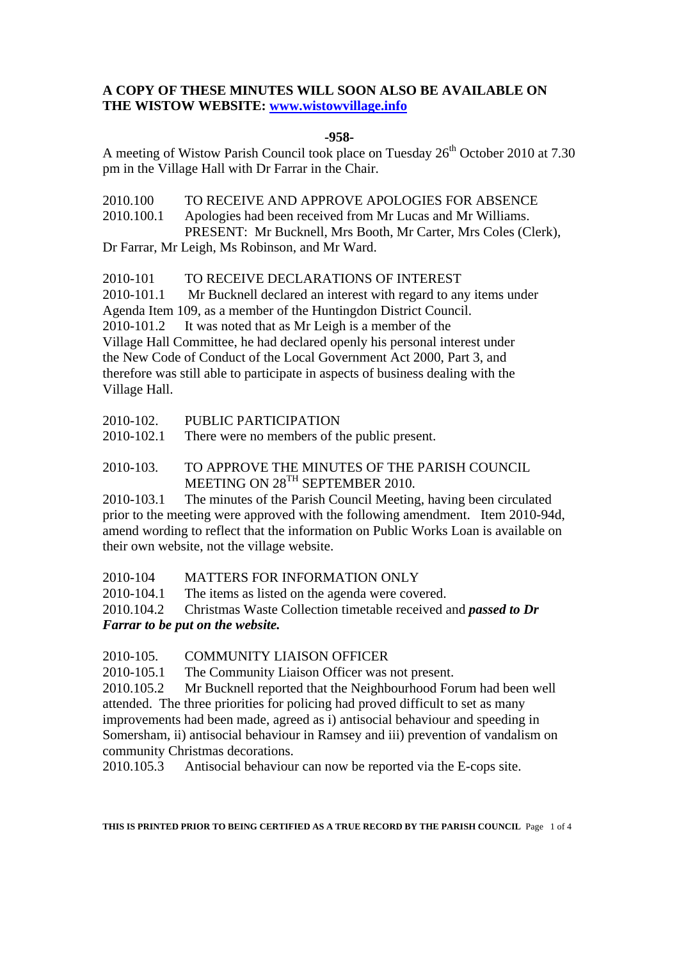## **A COPY OF THESE MINUTES WILL SOON ALSO BE AVAILABLE ON THE WISTOW WEBSITE: www.wistowvillage.info**

## **-958-**

A meeting of Wistow Parish Council took place on Tuesday  $26<sup>th</sup>$  October 2010 at 7.30 pm in the Village Hall with Dr Farrar in the Chair.

2010.100 TO RECEIVE AND APPROVE APOLOGIES FOR ABSENCE 2010.100.1 Apologies had been received from Mr Lucas and Mr Williams. PRESENT: Mr Bucknell, Mrs Booth, Mr Carter, Mrs Coles (Clerk), Dr Farrar, Mr Leigh, Ms Robinson, and Mr Ward.

2010-101 TO RECEIVE DECLARATIONS OF INTEREST

2010-101.1 Mr Bucknell declared an interest with regard to any items under Agenda Item 109, as a member of the Huntingdon District Council.

2010-101.2 It was noted that as Mr Leigh is a member of the Village Hall Committee, he had declared openly his personal interest under the New Code of Conduct of the Local Government Act 2000, Part 3, and therefore was still able to participate in aspects of business dealing with the Village Hall.

2010-102. PUBLIC PARTICIPATION

2010-102.1 There were no members of the public present.

2010-103. TO APPROVE THE MINUTES OF THE PARISH COUNCIL MEETING ON 28<sup>TH</sup> SEPTEMBER 2010.

2010-103.1 The minutes of the Parish Council Meeting, having been circulated prior to the meeting were approved with the following amendment. Item 2010-94d, amend wording to reflect that the information on Public Works Loan is available on their own website, not the village website.

2010-104 MATTERS FOR INFORMATION ONLY

2010-104.1 The items as listed on the agenda were covered.

2010.104.2 Christmas Waste Collection timetable received and *passed to Dr Farrar to be put on the website.* 

2010-105. COMMUNITY LIAISON OFFICER

2010-105.1 The Community Liaison Officer was not present.

2010.105.2 Mr Bucknell reported that the Neighbourhood Forum had been well attended. The three priorities for policing had proved difficult to set as many improvements had been made, agreed as i) antisocial behaviour and speeding in Somersham, ii) antisocial behaviour in Ramsey and iii) prevention of vandalism on community Christmas decorations.

2010.105.3 Antisocial behaviour can now be reported via the E-cops site.

**THIS IS PRINTED PRIOR TO BEING CERTIFIED AS A TRUE RECORD BY THE PARISH COUNCIL** Page 1 of 4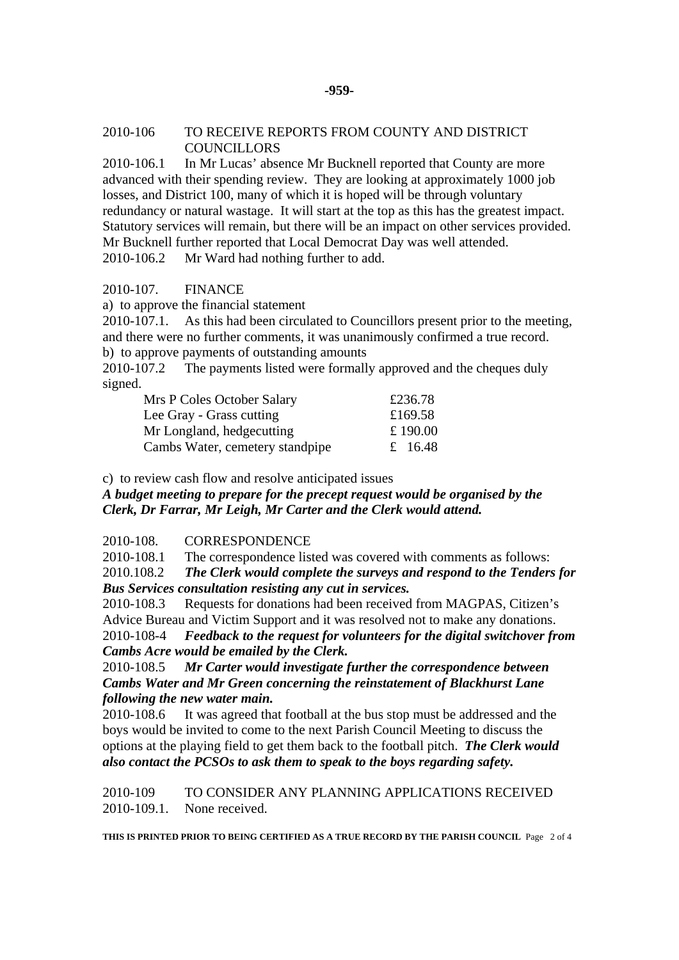#### **-959-**

### 2010-106 TO RECEIVE REPORTS FROM COUNTY AND DISTRICT COUNCILLORS

2010-106.1 In Mr Lucas' absence Mr Bucknell reported that County are more advanced with their spending review. They are looking at approximately 1000 job losses, and District 100, many of which it is hoped will be through voluntary redundancy or natural wastage. It will start at the top as this has the greatest impact. Statutory services will remain, but there will be an impact on other services provided. Mr Bucknell further reported that Local Democrat Day was well attended. 2010-106.2 Mr Ward had nothing further to add.

### 2010-107. FINANCE

a) to approve the financial statement

2010-107.1. As this had been circulated to Councillors present prior to the meeting, and there were no further comments, it was unanimously confirmed a true record. b) to approve payments of outstanding amounts

2010-107.2 The payments listed were formally approved and the cheques duly signed.

| Mrs P Coles October Salary      | £236.78  |
|---------------------------------|----------|
| Lee Gray - Grass cutting        | £169.58  |
| Mr Longland, hedgecutting       | £ 190.00 |
| Cambs Water, cemetery standpipe | £ 16.48  |

c) to review cash flow and resolve anticipated issues

*A budget meeting to prepare for the precept request would be organised by the Clerk, Dr Farrar, Mr Leigh, Mr Carter and the Clerk would attend.* 

2010-108. CORRESPONDENCE

2010-108.1 The correspondence listed was covered with comments as follows:

2010.108.2 *The Clerk would complete the surveys and respond to the Tenders for Bus Services consultation resisting any cut in services.*

2010-108.3 Requests for donations had been received from MAGPAS, Citizen's Advice Bureau and Victim Support and it was resolved not to make any donations. 2010-108-4 *Feedback to the request for volunteers for the digital switchover from Cambs Acre would be emailed by the Clerk.* 

2010-108.5 *Mr Carter would investigate further the correspondence between Cambs Water and Mr Green concerning the reinstatement of Blackhurst Lane following the new water main.*

2010-108.6 It was agreed that football at the bus stop must be addressed and the boys would be invited to come to the next Parish Council Meeting to discuss the options at the playing field to get them back to the football pitch. *The Clerk would also contact the PCSOs to ask them to speak to the boys regarding safety.* 

2010-109 TO CONSIDER ANY PLANNING APPLICATIONS RECEIVED 2010-109.1. None received.

**THIS IS PRINTED PRIOR TO BEING CERTIFIED AS A TRUE RECORD BY THE PARISH COUNCIL** Page 2 of 4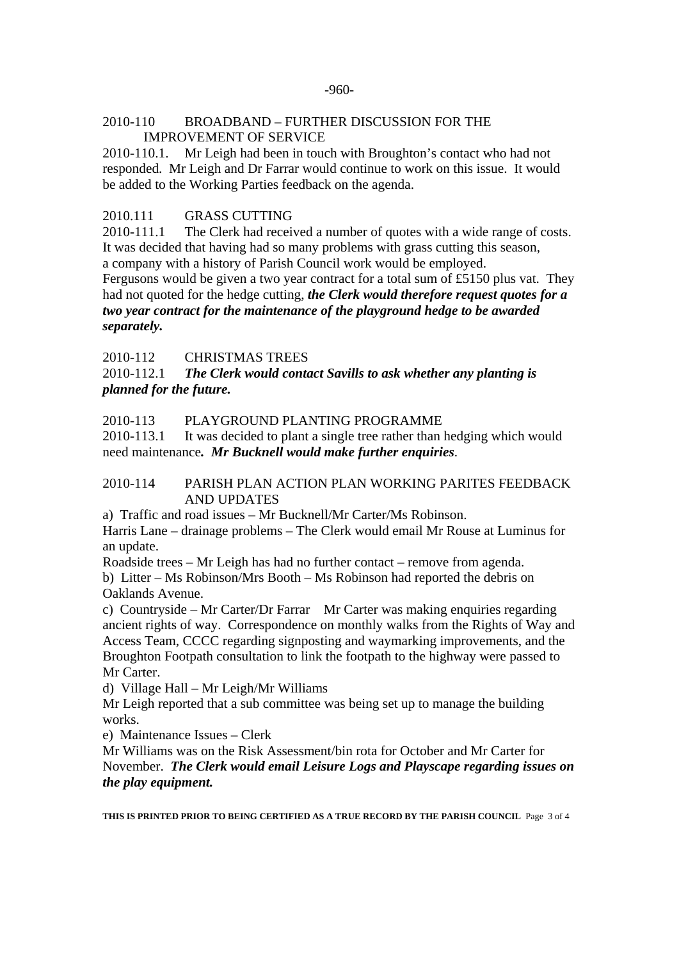### -960-

## 2010-110 BROADBAND – FURTHER DISCUSSION FOR THE IMPROVEMENT OF SERVICE

2010-110.1. Mr Leigh had been in touch with Broughton's contact who had not responded. Mr Leigh and Dr Farrar would continue to work on this issue. It would be added to the Working Parties feedback on the agenda.

# 2010.111 GRASS CUTTING

2010-111.1 The Clerk had received a number of quotes with a wide range of costs. It was decided that having had so many problems with grass cutting this season, a company with a history of Parish Council work would be employed.

Fergusons would be given a two year contract for a total sum of £5150 plus vat. They had not quoted for the hedge cutting, *the Clerk would therefore request quotes for a two year contract for the maintenance of the playground hedge to be awarded separately.* 

# 2010-112 CHRISTMAS TREES

2010-112.1 *The Clerk would contact Savills to ask whether any planting is planned for the future.* 

# 2010-113 PLAYGROUND PLANTING PROGRAMME

2010-113.1 It was decided to plant a single tree rather than hedging which would need maintenance*. Mr Bucknell would make further enquiries*.

## 2010-114 PARISH PLAN ACTION PLAN WORKING PARITES FEEDBACK AND UPDATES

a) Traffic and road issues – Mr Bucknell/Mr Carter/Ms Robinson.

Harris Lane – drainage problems – The Clerk would email Mr Rouse at Luminus for an update.

Roadside trees – Mr Leigh has had no further contact – remove from agenda.

b) Litter – Ms Robinson/Mrs Booth – Ms Robinson had reported the debris on Oaklands Avenue.

c) Countryside – Mr Carter/Dr Farrar Mr Carter was making enquiries regarding ancient rights of way. Correspondence on monthly walks from the Rights of Way and Access Team, CCCC regarding signposting and waymarking improvements, and the Broughton Footpath consultation to link the footpath to the highway were passed to Mr Carter.

d) Village Hall – Mr Leigh/Mr Williams

Mr Leigh reported that a sub committee was being set up to manage the building works.

e) Maintenance Issues – Clerk

Mr Williams was on the Risk Assessment/bin rota for October and Mr Carter for November. *The Clerk would email Leisure Logs and Playscape regarding issues on the play equipment.* 

**THIS IS PRINTED PRIOR TO BEING CERTIFIED AS A TRUE RECORD BY THE PARISH COUNCIL** Page 3 of 4